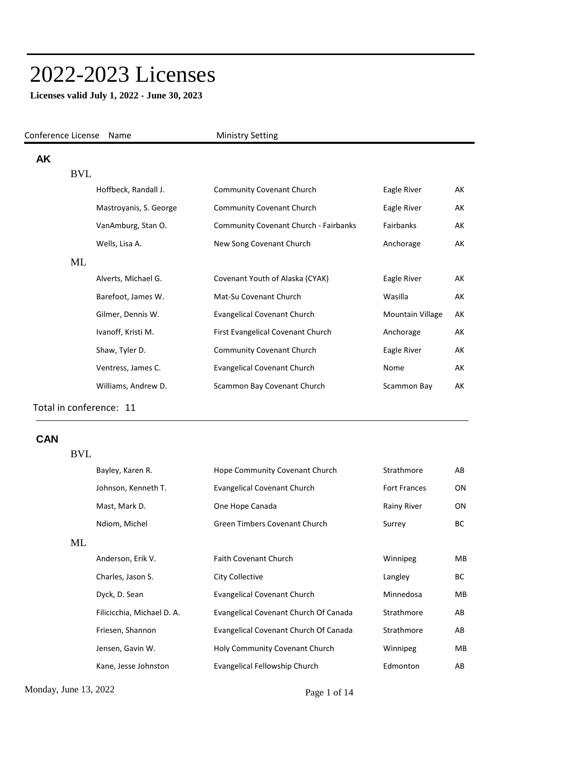# 2022-2023 Licenses

Conference License Name Ministry Setting

**Licenses valid July 1, 2022 - June 30, 2023**

| AΚ |            |                        |                                              |                  |    |
|----|------------|------------------------|----------------------------------------------|------------------|----|
|    | <b>BVL</b> |                        |                                              |                  |    |
|    |            | Hoffbeck, Randall J.   | <b>Community Covenant Church</b>             | Eagle River      | АK |
|    |            | Mastroyanis, S. George | <b>Community Covenant Church</b>             | Eagle River      | АK |
|    |            | VanAmburg, Stan O.     | <b>Community Covenant Church - Fairbanks</b> | <b>Fairbanks</b> | AK |
|    |            | Wells, Lisa A.         | New Song Covenant Church                     | Anchorage        | АK |
|    | ML         |                        |                                              |                  |    |
|    |            | Alverts, Michael G.    | Covenant Youth of Alaska (CYAK)              | Eagle River      | AK |
|    |            | Barefoot, James W.     | Mat-Su Covenant Church                       | Wasilla          | AK |
|    |            | Gilmer, Dennis W.      | <b>Evangelical Covenant Church</b>           | Mountain Village | АK |
|    |            | Ivanoff, Kristi M.     | First Evangelical Covenant Church            | Anchorage        | АK |
|    |            | Shaw, Tyler D.         | <b>Community Covenant Church</b>             | Eagle River      | АK |
|    |            | Ventress, James C.     | <b>Evangelical Covenant Church</b>           | Nome             | AK |
|    |            | Williams, Andrew D.    | Scammon Bay Covenant Church                  | Scammon Bay      | AK |
|    |            |                        |                                              |                  |    |

Total in conference: 11

BVL

#### **CAN**

Monday, June 13, 2022 Page 1 of 14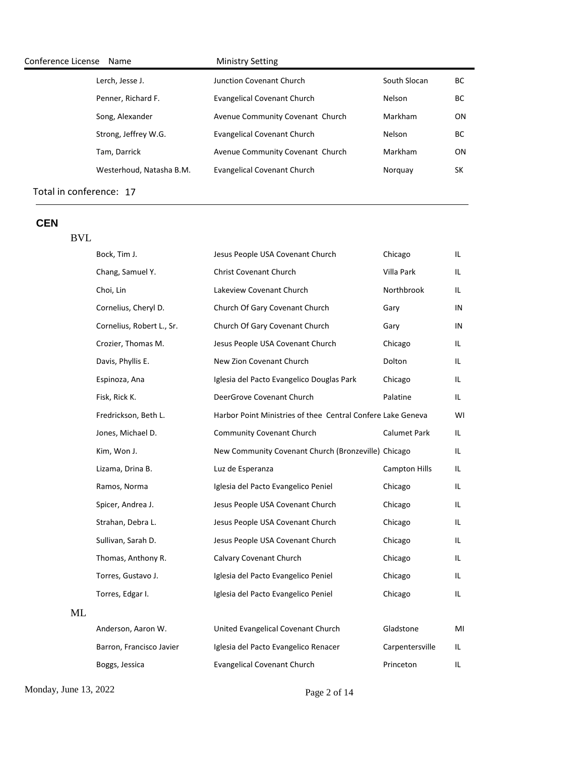| Conference License<br>Name | <b>Ministry Setting</b>            |              |           |
|----------------------------|------------------------------------|--------------|-----------|
| Lerch, Jesse J.            | Junction Covenant Church           | South Slocan | BС        |
| Penner, Richard F.         | Evangelical Covenant Church        | Nelson       | ВC        |
| Song, Alexander            | Avenue Community Covenant Church   | Markham      | <b>ON</b> |
| Strong, Jeffrey W.G.       | Evangelical Covenant Church        | Nelson       | BС        |
| Tam, Darrick               | Avenue Community Covenant Church   | Markham      | <b>ON</b> |
| Westerhoud, Natasha B.M.   | <b>Evangelical Covenant Church</b> | Norguay      | SK        |
|                            |                                    |              |           |

## **CEN**

BVL

|    | Bock, Tim J.              | Jesus People USA Covenant Church                            | Chicago              | IL. |
|----|---------------------------|-------------------------------------------------------------|----------------------|-----|
|    | Chang, Samuel Y.          | <b>Christ Covenant Church</b>                               | Villa Park           | IL. |
|    | Choi, Lin                 | Lakeview Covenant Church                                    | Northbrook           | IL. |
|    | Cornelius, Cheryl D.      | Church Of Gary Covenant Church                              | Gary                 | IN  |
|    | Cornelius, Robert L., Sr. | Church Of Gary Covenant Church                              | Gary                 | IN  |
|    | Crozier, Thomas M.        | Jesus People USA Covenant Church                            | Chicago              | IL. |
|    | Davis, Phyllis E.         | New Zion Covenant Church                                    | Dolton               | IL. |
|    | Espinoza, Ana             | Iglesia del Pacto Evangelico Douglas Park                   | Chicago              | IL. |
|    | Fisk, Rick K.             | DeerGrove Covenant Church                                   | Palatine             | IL. |
|    | Fredrickson, Beth L.      | Harbor Point Ministries of thee Central Confere Lake Geneva |                      | WI  |
|    | Jones, Michael D.         | <b>Community Covenant Church</b>                            | <b>Calumet Park</b>  | IL. |
|    | Kim, Won J.               | New Community Covenant Church (Bronzeville) Chicago         |                      | IL. |
|    | Lizama, Drina B.          | Luz de Esperanza                                            | <b>Campton Hills</b> | IL. |
|    | Ramos, Norma              | Iglesia del Pacto Evangelico Peniel                         | Chicago              | IL. |
|    | Spicer, Andrea J.         | Jesus People USA Covenant Church                            | Chicago              | IL. |
|    | Strahan, Debra L.         | Jesus People USA Covenant Church                            | Chicago              | IL. |
|    | Sullivan, Sarah D.        | Jesus People USA Covenant Church                            | Chicago              | IL. |
|    | Thomas, Anthony R.        | Calvary Covenant Church                                     | Chicago              | IL. |
|    | Torres, Gustavo J.        | Iglesia del Pacto Evangelico Peniel                         | Chicago              | IL. |
|    | Torres, Edgar I.          | Iglesia del Pacto Evangelico Peniel                         | Chicago              | IL. |
| ML |                           |                                                             |                      |     |
|    | Anderson, Aaron W.        | United Evangelical Covenant Church                          | Gladstone            | MI  |
|    | Barron, Francisco Javier  | Iglesia del Pacto Evangelico Renacer                        | Carpentersville      | IL. |
|    | Boggs, Jessica            | <b>Evangelical Covenant Church</b>                          | Princeton            | IL. |

Monday, June 13, 2022 Page 2 of 14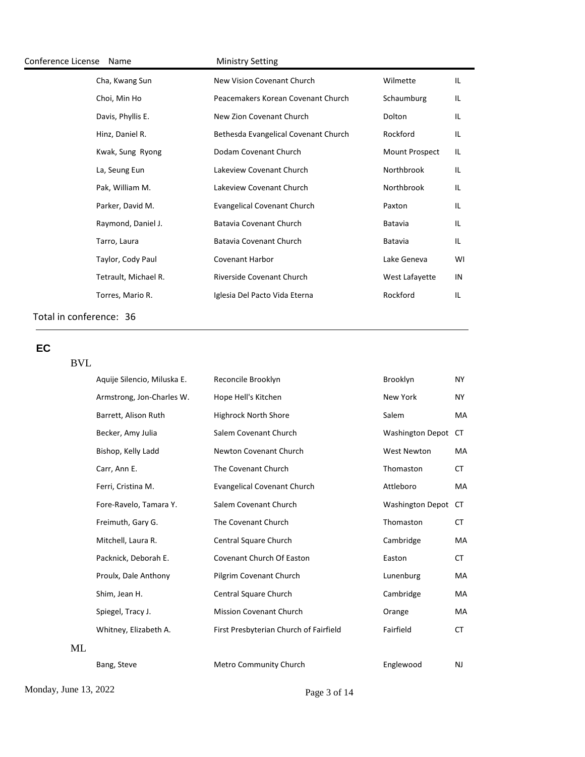| Conference License | Name                 | <b>Ministry Setting</b>              |                |    |
|--------------------|----------------------|--------------------------------------|----------------|----|
|                    | Cha, Kwang Sun       | New Vision Covenant Church           | Wilmette       | IL |
|                    | Choi, Min Ho         | Peacemakers Korean Covenant Church   | Schaumburg     | IL |
|                    | Davis, Phyllis E.    | New Zion Covenant Church             | Dolton         | IL |
|                    | Hinz, Daniel R.      | Bethesda Evangelical Covenant Church | Rockford       | ΙL |
|                    | Kwak, Sung Ryong     | Dodam Covenant Church                | Mount Prospect | ΙL |
|                    | La, Seung Eun        | Lakeview Covenant Church             | Northbrook     | L  |
|                    | Pak, William M.      | Lakeview Covenant Church             | Northbrook     | ΙL |
|                    | Parker, David M.     | <b>Evangelical Covenant Church</b>   | Paxton         | IL |
|                    | Raymond, Daniel J.   | Batavia Covenant Church              | Batavia        | IL |
|                    | Tarro, Laura         | Batavia Covenant Church              | Batavia        | IL |
|                    | Taylor, Cody Paul    | <b>Covenant Harbor</b>               | Lake Geneva    | WI |
|                    | Tetrault, Michael R. | Riverside Covenant Church            | West Lafayette | IN |
|                    | Torres, Mario R.     | Iglesia Del Pacto Vida Eterna        | Rockford       | IL |
|                    |                      |                                      |                |    |

# **EC**

# BVL

| Aquije Silencio, Miluska E. | Reconcile Brooklyn                     | Brooklyn                | NY.       |
|-----------------------------|----------------------------------------|-------------------------|-----------|
| Armstrong, Jon-Charles W.   | Hope Hell's Kitchen                    | New York                | NY.       |
| Barrett, Alison Ruth        | <b>Highrock North Shore</b>            | Salem                   | MA        |
| Becker, Amy Julia           | Salem Covenant Church                  | <b>Washington Depot</b> | CT.       |
| Bishop, Kelly Ladd          | Newton Covenant Church                 | <b>West Newton</b>      | MA        |
| Carr, Ann E.                | The Covenant Church                    | Thomaston               | СT        |
| Ferri, Cristina M.          | <b>Evangelical Covenant Church</b>     | Attleboro               | MA        |
| Fore-Ravelo, Tamara Y.      | Salem Covenant Church                  | <b>Washington Depot</b> | СT        |
| Freimuth, Gary G.           | The Covenant Church                    | Thomaston               | CT.       |
| Mitchell, Laura R.          | Central Square Church                  | Cambridge               | MA        |
| Packnick, Deborah E.        | <b>Covenant Church Of Easton</b>       | Easton                  | <b>CT</b> |
| Proulx, Dale Anthony        | Pilgrim Covenant Church                | Lunenburg               | МA        |
| Shim, Jean H.               | Central Square Church                  | Cambridge               | МA        |
| Spiegel, Tracy J.           | <b>Mission Covenant Church</b>         | Orange                  | MA        |
| Whitney, Elizabeth A.       | First Presbyterian Church of Fairfield | Fairfield               | <b>CT</b> |
|                             |                                        |                         |           |
| Bang, Steve                 | Metro Community Church                 | Englewood               | NJ        |
|                             |                                        |                         |           |

Monday, June 13, 2022 Page 3 of 14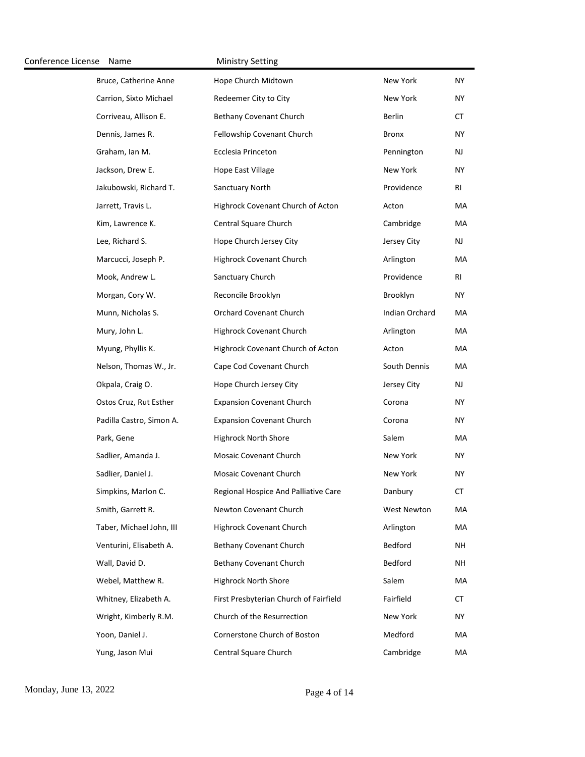| Conference License Name |                          | <b>Ministry Setting</b>                |                       |               |
|-------------------------|--------------------------|----------------------------------------|-----------------------|---------------|
|                         | Bruce, Catherine Anne    | Hope Church Midtown                    | New York              | NY.           |
|                         | Carrion, Sixto Michael   | Redeemer City to City                  | New York              | NY.           |
|                         | Corriveau, Allison E.    | <b>Bethany Covenant Church</b>         | Berlin                | СT            |
|                         | Dennis, James R.         | Fellowship Covenant Church             | <b>Bronx</b>          | <b>NY</b>     |
|                         | Graham, Ian M.           | <b>Ecclesia Princeton</b>              | Pennington            | <b>NJ</b>     |
|                         | Jackson, Drew E.         | Hope East Village                      | New York              | <b>NY</b>     |
|                         | Jakubowski, Richard T.   | Sanctuary North                        | Providence            | RI            |
|                         | Jarrett, Travis L.       | Highrock Covenant Church of Acton      | Acton                 | МA            |
|                         | Kim, Lawrence K.         | Central Square Church                  | Cambridge             | МA            |
|                         | Lee, Richard S.          | Hope Church Jersey City                | Jersey City           | $\mathsf{NJ}$ |
|                         | Marcucci, Joseph P.      | Highrock Covenant Church               | Arlington             | МA            |
|                         | Mook, Andrew L.          | Sanctuary Church                       | Providence            | RI            |
|                         | Morgan, Cory W.          | Reconcile Brooklyn                     | Brooklyn              | NY.           |
|                         | Munn, Nicholas S.        | <b>Orchard Covenant Church</b>         | <b>Indian Orchard</b> | МA            |
|                         | Mury, John L.            | Highrock Covenant Church               | Arlington             | МA            |
|                         | Myung, Phyllis K.        | Highrock Covenant Church of Acton      | Acton                 | МA            |
|                         | Nelson, Thomas W., Jr.   | Cape Cod Covenant Church               | South Dennis          | МA            |
|                         | Okpala, Craig O.         | Hope Church Jersey City                | Jersey City           | <b>NJ</b>     |
|                         | Ostos Cruz, Rut Esther   | <b>Expansion Covenant Church</b>       | Corona                | NY.           |
|                         | Padilla Castro, Simon A. | <b>Expansion Covenant Church</b>       | Corona                | NY.           |
|                         | Park, Gene               | <b>Highrock North Shore</b>            | Salem                 | MA            |
|                         | Sadlier, Amanda J.       | <b>Mosaic Covenant Church</b>          | New York              | NY.           |
|                         | Sadlier, Daniel J.       | <b>Mosaic Covenant Church</b>          | New York              | <b>NY</b>     |
|                         | Simpkins, Marlon C.      | Regional Hospice And Palliative Care   | Danbury               | СT            |
|                         | Smith, Garrett R.        | Newton Covenant Church                 | West Newton           | MA            |
|                         | Taber, Michael John, III | Highrock Covenant Church               | Arlington             | МA            |
|                         | Venturini, Elisabeth A.  | <b>Bethany Covenant Church</b>         | Bedford               | <b>NH</b>     |
|                         | Wall, David D.           | <b>Bethany Covenant Church</b>         | Bedford               | NH            |
|                         | Webel, Matthew R.        | <b>Highrock North Shore</b>            | Salem                 | MA            |
|                         | Whitney, Elizabeth A.    | First Presbyterian Church of Fairfield | Fairfield             | CT            |
|                         | Wright, Kimberly R.M.    | Church of the Resurrection             | New York              | <b>NY</b>     |
|                         | Yoon, Daniel J.          | Cornerstone Church of Boston           | Medford               | MA            |
|                         | Yung, Jason Mui          | Central Square Church                  | Cambridge             | MA            |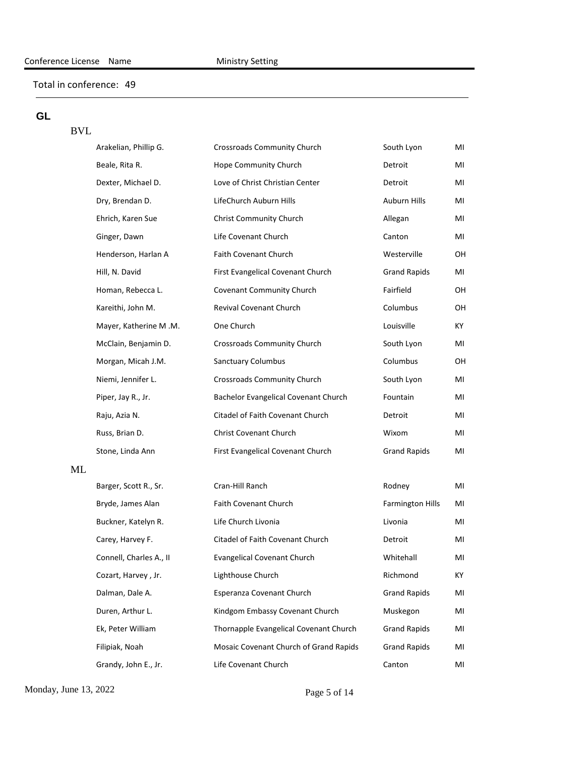# **GL**

## BVL

|    | Arakelian, Phillip G.   | Crossroads Community Church            | South Lyon              | MI |
|----|-------------------------|----------------------------------------|-------------------------|----|
|    | Beale, Rita R.          | Hope Community Church                  | Detroit                 | MI |
|    | Dexter, Michael D.      | Love of Christ Christian Center        | Detroit                 | MI |
|    | Dry, Brendan D.         | LifeChurch Auburn Hills                | Auburn Hills            | MI |
|    | Ehrich, Karen Sue       | Christ Community Church                | Allegan                 | MI |
|    | Ginger, Dawn            | Life Covenant Church                   | Canton                  | MI |
|    | Henderson, Harlan A     | Faith Covenant Church                  | Westerville             | OH |
|    | Hill, N. David          | First Evangelical Covenant Church      | <b>Grand Rapids</b>     | MI |
|    | Homan, Rebecca L.       | Covenant Community Church              | Fairfield               | OH |
|    | Kareithi, John M.       | Revival Covenant Church                | Columbus                | OН |
|    | Mayer, Katherine M.M.   | One Church                             | Louisville              | ΚY |
|    | McClain, Benjamin D.    | Crossroads Community Church            | South Lyon              | MI |
|    | Morgan, Micah J.M.      | Sanctuary Columbus                     | Columbus                | OН |
|    | Niemi, Jennifer L.      | Crossroads Community Church            | South Lyon              | MI |
|    | Piper, Jay R., Jr.      | Bachelor Evangelical Covenant Church   | Fountain                | MI |
|    | Raju, Azia N.           | Citadel of Faith Covenant Church       | Detroit                 | MI |
|    | Russ, Brian D.          | Christ Covenant Church                 | Wixom                   | MI |
|    | Stone, Linda Ann        | First Evangelical Covenant Church      | <b>Grand Rapids</b>     | MI |
| ML |                         |                                        |                         |    |
|    | Barger, Scott R., Sr.   | Cran-Hill Ranch                        | Rodney                  | MI |
|    | Bryde, James Alan       | Faith Covenant Church                  | <b>Farmington Hills</b> | MI |
|    | Buckner, Katelyn R.     | Life Church Livonia                    | Livonia                 | MI |
|    | Carey, Harvey F.        | Citadel of Faith Covenant Church       | Detroit                 | MI |
|    | Connell, Charles A., II | <b>Evangelical Covenant Church</b>     | Whitehall               | MI |
|    | Cozart, Harvey, Jr.     | Lighthouse Church                      | Richmond                | КY |
|    | Dalman, Dale A.         | Esperanza Covenant Church              | <b>Grand Rapids</b>     | MI |
|    | Duren, Arthur L.        | Kindgom Embassy Covenant Church        | Muskegon                | ΜI |
|    | Ek, Peter William       | Thornapple Evangelical Covenant Church | <b>Grand Rapids</b>     | ΜI |
|    | Filipiak, Noah          | Mosaic Covenant Church of Grand Rapids | <b>Grand Rapids</b>     | ΜI |
|    | Grandy, John E., Jr.    | Life Covenant Church                   | Canton                  | MI |

Monday, June 13, 2022 Page 5 of 14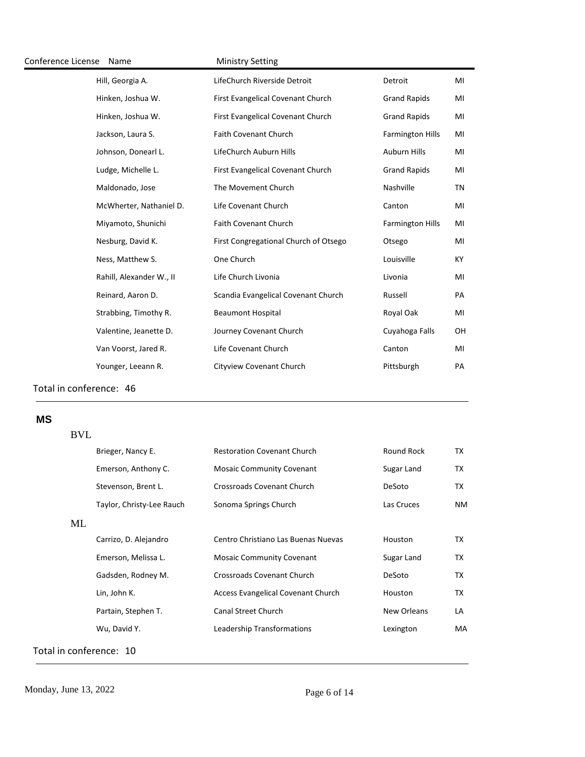| Conference License | Name                     | <b>Ministry Setting</b>               |                         |    |
|--------------------|--------------------------|---------------------------------------|-------------------------|----|
|                    | Hill, Georgia A.         | LifeChurch Riverside Detroit          | Detroit                 | MI |
|                    | Hinken, Joshua W.        | First Evangelical Covenant Church     | <b>Grand Rapids</b>     | MI |
|                    | Hinken, Joshua W.        | First Evangelical Covenant Church     | <b>Grand Rapids</b>     | MI |
|                    | Jackson, Laura S.        | <b>Faith Covenant Church</b>          | <b>Farmington Hills</b> | MI |
|                    | Johnson, Donearl L.      | LifeChurch Auburn Hills               | <b>Auburn Hills</b>     | MI |
|                    | Ludge, Michelle L.       | First Evangelical Covenant Church     | <b>Grand Rapids</b>     | MI |
|                    | Maldonado, Jose          | The Movement Church                   | Nashville               | ΤN |
|                    | McWherter, Nathaniel D.  | Life Covenant Church                  | Canton                  | MI |
|                    | Miyamoto, Shunichi       | Faith Covenant Church                 | <b>Farmington Hills</b> | MI |
|                    | Nesburg, David K.        | First Congregational Church of Otsego | Otsego                  | MI |
|                    | Ness, Matthew S.         | One Church                            | Louisville              | KY |
|                    | Rahill, Alexander W., II | Life Church Livonia                   | Livonia                 | MI |
|                    | Reinard, Aaron D.        | Scandia Evangelical Covenant Church   | Russell                 | PA |
|                    | Strabbing, Timothy R.    | <b>Beaumont Hospital</b>              | Royal Oak               | MI |
|                    | Valentine, Jeanette D.   | Journey Covenant Church               | Cuyahoga Falls          | OH |
|                    | Van Voorst, Jared R.     | Life Covenant Church                  | Canton                  | MI |
|                    | Younger, Leeann R.       | Cityview Covenant Church              | Pittsburgh              | PA |
|                    |                          |                                       |                         |    |

## **MS**

#### BVL

|    | Brieger, Nancy E.         | <b>Restoration Covenant Church</b>  | Round Rock  | TX  |
|----|---------------------------|-------------------------------------|-------------|-----|
|    | Emerson, Anthony C.       | <b>Mosaic Community Covenant</b>    | Sugar Land  | ТX  |
|    | Stevenson, Brent L.       | <b>Crossroads Covenant Church</b>   | DeSoto      | TX  |
|    | Taylor, Christy-Lee Rauch | Sonoma Springs Church               | Las Cruces  | NM. |
| ML |                           |                                     |             |     |
|    | Carrizo, D. Alejandro     | Centro Christiano Las Buenas Nuevas | Houston     | TX  |
|    | Emerson, Melissa L.       | <b>Mosaic Community Covenant</b>    | Sugar Land  | TX  |
|    | Gadsden, Rodney M.        | Crossroads Covenant Church          | DeSoto      | ТX  |
|    | Lin, John K.              | Access Evangelical Covenant Church  | Houston     | TX  |
|    | Partain, Stephen T.       | <b>Canal Street Church</b>          | New Orleans | LA  |
|    | Wu, David Y.              | Leadership Transformations          | Lexington   | MA  |
|    |                           |                                     |             |     |

Total in conference: 10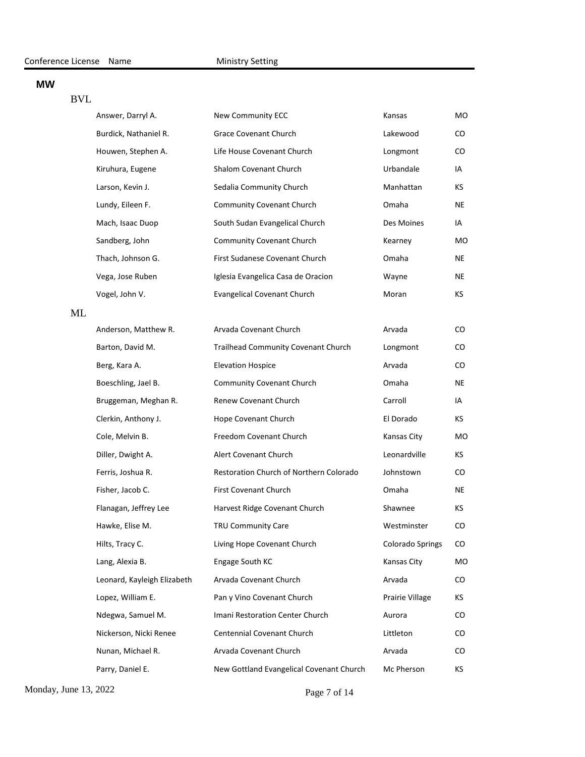#### **MW**

#### BVL

|    | Answer, Darryl A.           | New Community ECC                        | Kansas                  | MO  |
|----|-----------------------------|------------------------------------------|-------------------------|-----|
|    | Burdick, Nathaniel R.       | <b>Grace Covenant Church</b>             | Lakewood                | CO. |
|    | Houwen, Stephen A.          | Life House Covenant Church               | Longmont                | CO  |
|    | Kiruhura, Eugene            | Shalom Covenant Church                   | Urbandale               | IA  |
|    | Larson, Kevin J.            | Sedalia Community Church                 | Manhattan               | КS  |
|    | Lundy, Eileen F.            | Community Covenant Church                | Omaha                   | NE  |
|    | Mach, Isaac Duop            | South Sudan Evangelical Church           | Des Moines              | IA  |
|    | Sandberg, John              | Community Covenant Church                | Kearney                 | мo  |
|    | Thach, Johnson G.           | First Sudanese Covenant Church           | Omaha                   | NE  |
|    | Vega, Jose Ruben            | Iglesia Evangelica Casa de Oracion       | Wayne                   | NE  |
|    | Vogel, John V.              | <b>Evangelical Covenant Church</b>       | Moran                   | КS  |
| ML |                             |                                          |                         |     |
|    | Anderson, Matthew R.        | Arvada Covenant Church                   | Arvada                  | CO. |
|    | Barton, David M.            | Trailhead Community Covenant Church      | Longmont                | CO  |
|    | Berg, Kara A.               | <b>Elevation Hospice</b>                 | Arvada                  | CO. |
|    | Boeschling, Jael B.         | Community Covenant Church                | Omaha                   | NE  |
|    | Bruggeman, Meghan R.        | Renew Covenant Church                    | Carroll                 | IA  |
|    | Clerkin, Anthony J.         | Hope Covenant Church                     | El Dorado               | КS  |
|    | Cole, Melvin B.             | Freedom Covenant Church                  | Kansas City             | мo  |
|    | Diller, Dwight A.           | Alert Covenant Church                    | Leonardville            | КS  |
|    | Ferris, Joshua R.           | Restoration Church of Northern Colorado  | Johnstown               | CO. |
|    | Fisher, Jacob C.            | First Covenant Church                    | Omaha                   | NE  |
|    | Flanagan, Jeffrey Lee       | Harvest Ridge Covenant Church            | Shawnee                 | КS  |
|    | Hawke, Elise M.             | TRU Community Care                       | Westminster             | CO  |
|    | Hilts, Tracy C.             | Living Hope Covenant Church              | <b>Colorado Springs</b> | CO  |
|    | Lang, Alexia B.             | Engage South KC                          | Kansas City             | МO  |
|    | Leonard, Kayleigh Elizabeth | Arvada Covenant Church                   | Arvada                  | CO  |
|    | Lopez, William E.           | Pan y Vino Covenant Church               | Prairie Village         | КS  |
|    | Ndegwa, Samuel M.           | Imani Restoration Center Church          | Aurora                  | CO  |
|    | Nickerson, Nicki Renee      | Centennial Covenant Church               | Littleton               | CO. |
|    | Nunan, Michael R.           | Arvada Covenant Church                   | Arvada                  | CO  |
|    | Parry, Daniel E.            | New Gottland Evangelical Covenant Church | Mc Pherson              | ΚS  |

Monday, June 13, 2022 Page 7 of 14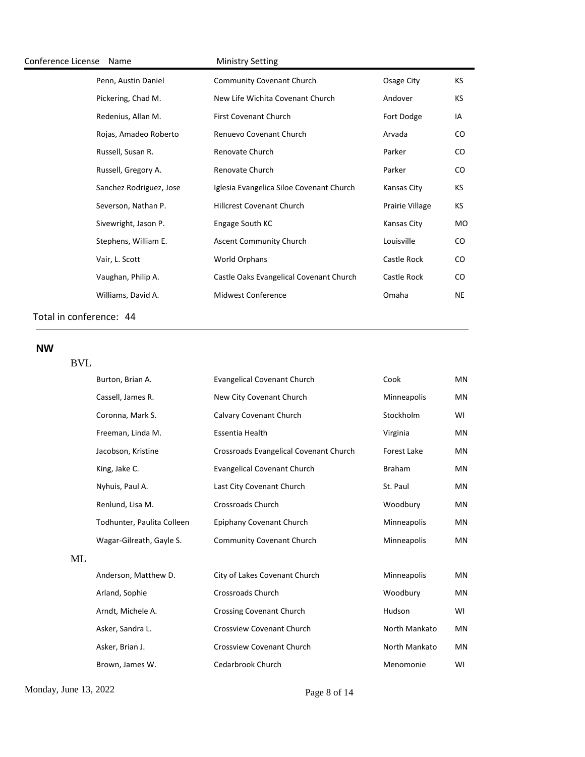| Conference License | Name                    | <b>Ministry Setting</b>                  |                 |    |
|--------------------|-------------------------|------------------------------------------|-----------------|----|
|                    | Penn, Austin Daniel     | <b>Community Covenant Church</b>         | Osage City      | KS |
|                    | Pickering, Chad M.      | New Life Wichita Covenant Church         | Andover         | КS |
|                    | Redenius, Allan M.      | First Covenant Church                    | Fort Dodge      | IA |
|                    | Rojas, Amadeo Roberto   | Renuevo Covenant Church                  | Arvada          | CO |
|                    | Russell, Susan R.       | Renovate Church                          | Parker          | CO |
|                    | Russell, Gregory A.     | Renovate Church                          | Parker          | CO |
|                    | Sanchez Rodriguez, Jose | Iglesia Evangelica Siloe Covenant Church | Kansas City     | KS |
|                    | Severson, Nathan P.     | <b>Hillcrest Covenant Church</b>         | Prairie Village | KS |
|                    | Sivewright, Jason P.    | Engage South KC                          | Kansas City     | мo |
|                    | Stephens, William E.    | <b>Ascent Community Church</b>           | Louisville      | CO |
|                    | Vair, L. Scott          | World Orphans                            | Castle Rock     | CO |
|                    | Vaughan, Philip A.      | Castle Oaks Evangelical Covenant Church  | Castle Rock     | CO |
|                    | Williams, David A.      | <b>Midwest Conference</b>                | Omaha           | NE |
|                    |                         |                                          |                 |    |

# **NW**

| <b>BVL</b> |                            |                                        |                    |           |
|------------|----------------------------|----------------------------------------|--------------------|-----------|
|            | Burton, Brian A.           | <b>Evangelical Covenant Church</b>     | Cook               | <b>MN</b> |
|            | Cassell, James R.          | New City Covenant Church               | Minneapolis        | MN        |
|            | Coronna, Mark S.           | Calvary Covenant Church                | Stockholm          | WI        |
|            | Freeman, Linda M.          | Essentia Health                        | Virginia           | <b>MN</b> |
|            | Jacobson, Kristine         | Crossroads Evangelical Covenant Church | <b>Forest Lake</b> | <b>MN</b> |
|            | King, Jake C.              | <b>Evangelical Covenant Church</b>     | <b>Braham</b>      | <b>MN</b> |
|            | Nyhuis, Paul A.            | Last City Covenant Church              | St. Paul           | <b>MN</b> |
|            | Renlund, Lisa M.           | <b>Crossroads Church</b>               | Woodbury           | <b>MN</b> |
|            | Todhunter, Paulita Colleen | Epiphany Covenant Church               | Minneapolis        | <b>MN</b> |
|            | Wagar-Gilreath, Gayle S.   | <b>Community Covenant Church</b>       | Minneapolis        | <b>MN</b> |
| ML         |                            |                                        |                    |           |
|            | Anderson, Matthew D.       | City of Lakes Covenant Church          | Minneapolis        | <b>MN</b> |
|            | Arland, Sophie             | <b>Crossroads Church</b>               | Woodbury           | MN        |
|            | Arndt, Michele A.          | <b>Crossing Covenant Church</b>        | Hudson             | WI        |
|            | Asker, Sandra L.           | Crossview Covenant Church              | North Mankato      | <b>MN</b> |
|            | Asker, Brian J.            | <b>Crossview Covenant Church</b>       | North Mankato      | MN        |

Brown, James W. Cedarbrook Church Menomonie MI

Monday, June 13, 2022 Page 8 of 14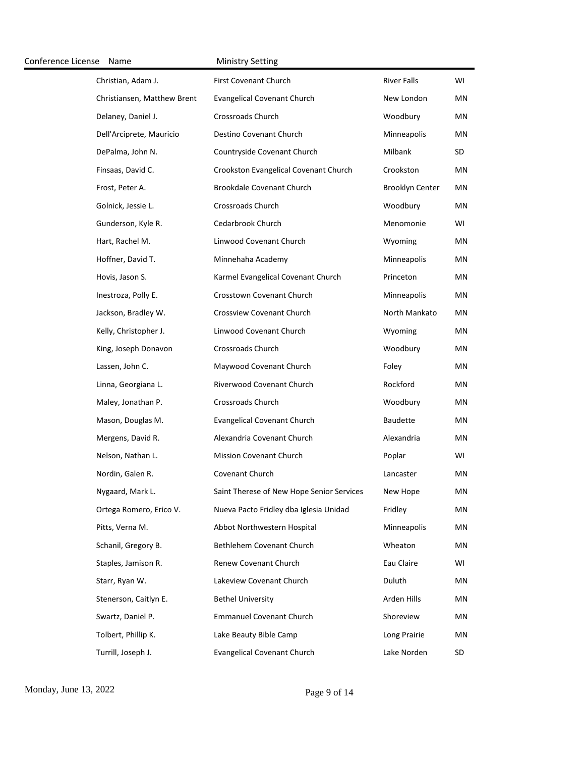| Conference License | Name                        | <b>Ministry Setting</b>                   |                        |    |
|--------------------|-----------------------------|-------------------------------------------|------------------------|----|
|                    | Christian, Adam J.          | First Covenant Church                     | <b>River Falls</b>     | WI |
|                    | Christiansen, Matthew Brent | <b>Evangelical Covenant Church</b>        | New London             | ΜN |
|                    | Delaney, Daniel J.          | Crossroads Church                         | Woodbury               | ΜN |
|                    | Dell'Arciprete, Mauricio    | Destino Covenant Church                   | Minneapolis            | ΜN |
|                    | DePalma, John N.            | Countryside Covenant Church               | Milbank                | SD |
|                    | Finsaas, David C.           | Crookston Evangelical Covenant Church     | Crookston              | ΜN |
|                    | Frost, Peter A.             | Brookdale Covenant Church                 | <b>Brooklyn Center</b> | ΜN |
|                    | Golnick, Jessie L.          | Crossroads Church                         | Woodbury               | ΜN |
|                    | Gunderson, Kyle R.          | Cedarbrook Church                         | Menomonie              | WI |
|                    | Hart, Rachel M.             | Linwood Covenant Church                   | Wyoming                | ΜN |
|                    | Hoffner, David T.           | Minnehaha Academy                         | Minneapolis            | ΜN |
|                    | Hovis, Jason S.             | Karmel Evangelical Covenant Church        | Princeton              | ΜN |
|                    | Inestroza, Polly E.         | Crosstown Covenant Church                 | Minneapolis            | ΜN |
|                    | Jackson, Bradley W.         | Crossview Covenant Church                 | North Mankato          | ΜN |
|                    | Kelly, Christopher J.       | Linwood Covenant Church                   | Wyoming                | ΜN |
|                    | King, Joseph Donavon        | Crossroads Church                         | Woodbury               | ΜN |
|                    | Lassen, John C.             | Maywood Covenant Church                   | Foley                  | ΜN |
|                    | Linna, Georgiana L.         | Riverwood Covenant Church                 | Rockford               | ΜN |
|                    | Maley, Jonathan P.          | Crossroads Church                         | Woodbury               | ΜN |
|                    | Mason, Douglas M.           | <b>Evangelical Covenant Church</b>        | <b>Baudette</b>        | ΜN |
|                    | Mergens, David R.           | Alexandria Covenant Church                | Alexandria             | MN |
|                    | Nelson, Nathan L.           | <b>Mission Covenant Church</b>            | Poplar                 | WI |
|                    | Nordin, Galen R.            | Covenant Church                           | Lancaster              | ΜN |
|                    | Nygaard, Mark L.            | Saint Therese of New Hope Senior Services | New Hope               | ΜN |
|                    | Ortega Romero, Erico V.     | Nueva Pacto Fridley dba Iglesia Unidad    | Fridley                | ΜN |
|                    | Pitts, Verna M.             | Abbot Northwestern Hospital               | Minneapolis            | ΜN |
|                    | Schanil, Gregory B.         | Bethlehem Covenant Church                 | Wheaton                | ΜN |
|                    | Staples, Jamison R.         | Renew Covenant Church                     | Eau Claire             | WI |
|                    | Starr, Ryan W.              | Lakeview Covenant Church                  | Duluth                 | ΜN |
|                    | Stenerson, Caitlyn E.       | <b>Bethel University</b>                  | Arden Hills            | ΜN |
|                    | Swartz, Daniel P.           | <b>Emmanuel Covenant Church</b>           | Shoreview              | ΜN |
|                    | Tolbert, Phillip K.         | Lake Beauty Bible Camp                    | Long Prairie           | ΜN |
|                    | Turrill, Joseph J.          | <b>Evangelical Covenant Church</b>        | Lake Norden            | SD |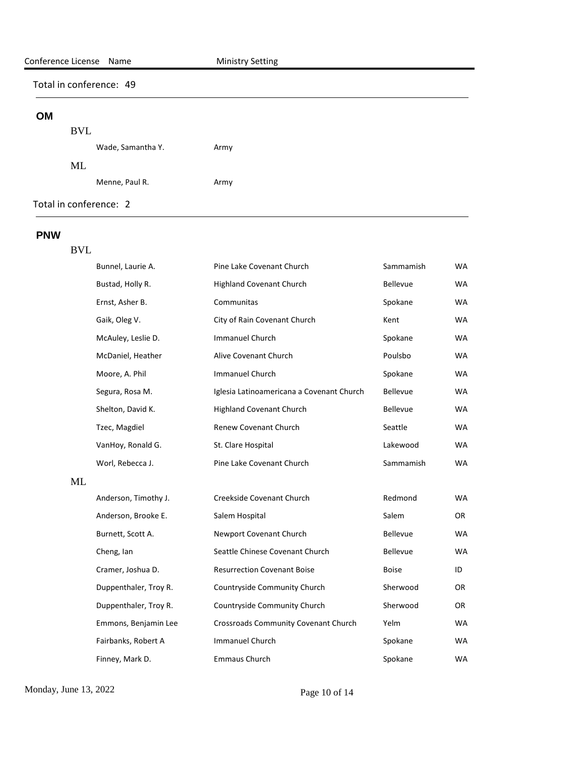#### **OM**

## BVL

|        | Wade, Samantha Y. | Army |
|--------|-------------------|------|
| $MI$ . |                   |      |
|        | Menne, Paul R.    | Army |

Total in conference: 2

#### **PNW**

# BVL

|    | Bunnel, Laurie A.     | Pine Lake Covenant Church                 | Sammamish       | WA        |
|----|-----------------------|-------------------------------------------|-----------------|-----------|
|    | Bustad, Holly R.      | <b>Highland Covenant Church</b>           | Bellevue        | <b>WA</b> |
|    | Ernst, Asher B.       | Communitas                                | Spokane         | WA.       |
|    | Gaik, Oleg V.         | City of Rain Covenant Church              | Kent            | <b>WA</b> |
|    | McAuley, Leslie D.    | <b>Immanuel Church</b>                    | Spokane         | <b>WA</b> |
|    | McDaniel, Heather     | Alive Covenant Church                     | Poulsbo         | <b>WA</b> |
|    | Moore, A. Phil        | Immanuel Church                           | Spokane         | <b>WA</b> |
|    | Segura, Rosa M.       | Iglesia Latinoamericana a Covenant Church | Bellevue        | WA        |
|    | Shelton, David K.     | <b>Highland Covenant Church</b>           | <b>Bellevue</b> | WA.       |
|    | Tzec, Magdiel         | Renew Covenant Church                     | Seattle         | <b>WA</b> |
|    | VanHoy, Ronald G.     | St. Clare Hospital                        | Lakewood        | <b>WA</b> |
|    | Worl, Rebecca J.      | Pine Lake Covenant Church                 | Sammamish       | <b>WA</b> |
| ML |                       |                                           |                 |           |
|    | Anderson, Timothy J.  | Creekside Covenant Church                 | Redmond         | <b>WA</b> |
|    | Anderson, Brooke E.   | Salem Hospital                            | Salem           | OR        |
|    | Burnett, Scott A.     | Newport Covenant Church                   | <b>Bellevue</b> | <b>WA</b> |
|    | Cheng, lan            | Seattle Chinese Covenant Church           | Bellevue        | <b>WA</b> |
|    | Cramer, Joshua D.     | <b>Resurrection Covenant Boise</b>        | <b>Boise</b>    | ID        |
|    | Duppenthaler, Troy R. | Countryside Community Church              | Sherwood        | 0R        |
|    | Duppenthaler, Troy R. | Countryside Community Church              | Sherwood        | OR.       |
|    | Emmons, Benjamin Lee  | Crossroads Community Covenant Church      | Yelm            | WA        |
|    | Fairbanks, Robert A   | <b>Immanuel Church</b>                    | Spokane         | WA        |
|    | Finney, Mark D.       | <b>Emmaus Church</b>                      | Spokane         | <b>WA</b> |

Monday, June 13, 2022 Page 10 of 14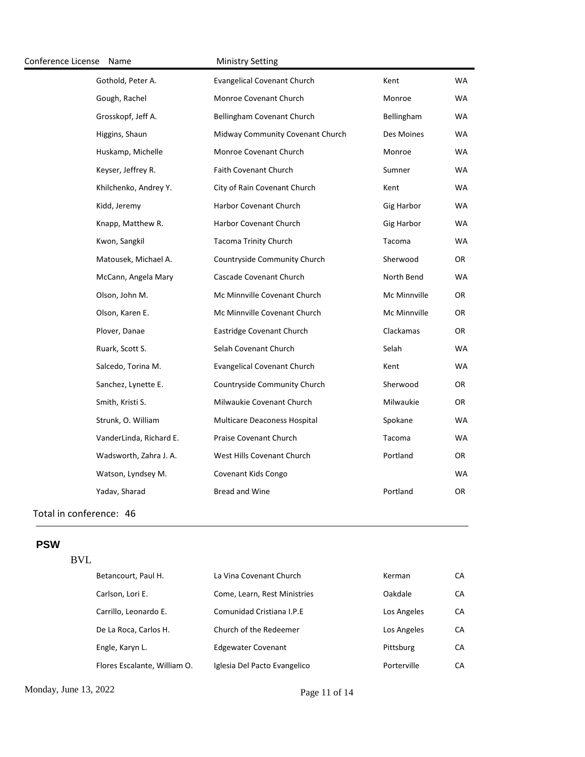| Conference License | Name                    | <b>Ministry Setting</b>            |              |           |
|--------------------|-------------------------|------------------------------------|--------------|-----------|
|                    | Gothold, Peter A.       | <b>Evangelical Covenant Church</b> | Kent         | <b>WA</b> |
|                    | Gough, Rachel           | Monroe Covenant Church             | Monroe       | WA        |
|                    | Grosskopf, Jeff A.      | Bellingham Covenant Church         | Bellingham   | WA        |
|                    | Higgins, Shaun          | Midway Community Covenant Church   | Des Moines   | WA        |
|                    | Huskamp, Michelle       | Monroe Covenant Church             | Monroe       | <b>WA</b> |
|                    | Keyser, Jeffrey R.      | <b>Faith Covenant Church</b>       | Sumner       | WA        |
|                    | Khilchenko, Andrey Y.   | City of Rain Covenant Church       | Kent         | WA        |
|                    | Kidd, Jeremy            | Harbor Covenant Church             | Gig Harbor   | WA        |
|                    | Knapp, Matthew R.       | Harbor Covenant Church             | Gig Harbor   | WA        |
|                    | Kwon, Sangkil           | <b>Tacoma Trinity Church</b>       | Tacoma       | <b>WA</b> |
|                    | Matousek, Michael A.    | Countryside Community Church       | Sherwood     | OR.       |
|                    | McCann, Angela Mary     | Cascade Covenant Church            | North Bend   | <b>WA</b> |
|                    | Olson, John M.          | Mc Minnville Covenant Church       | Mc Minnville | OR        |
|                    | Olson, Karen E.         | Mc Minnville Covenant Church       | Mc Minnville | OR        |
|                    | Plover, Danae           | Eastridge Covenant Church          | Clackamas    | OR        |
|                    | Ruark, Scott S.         | Selah Covenant Church              | Selah        | <b>WA</b> |
|                    | Salcedo, Torina M.      | <b>Evangelical Covenant Church</b> | Kent         | <b>WA</b> |
|                    | Sanchez, Lynette E.     | Countryside Community Church       | Sherwood     | OR        |
|                    | Smith, Kristi S.        | Milwaukie Covenant Church          | Milwaukie    | OR        |
|                    | Strunk, O. William      | Multicare Deaconess Hospital       | Spokane      | <b>WA</b> |
|                    | VanderLinda, Richard E. | Praise Covenant Church             | Tacoma       | <b>WA</b> |
|                    | Wadsworth, Zahra J. A.  | West Hills Covenant Church         | Portland     | OR        |
|                    | Watson, Lyndsey M.      | Covenant Kids Congo                |              | WA        |
|                    | Yadav, Sharad           | <b>Bread and Wine</b>              | Portland     | OR        |
|                    |                         |                                    |              |           |

## **PSW**

# BVL

| Betancourt, Paul H.          | La Vina Covenant Church      | Kerman      | СA |
|------------------------------|------------------------------|-------------|----|
| Carlson, Lori E.             | Come, Learn, Rest Ministries | Oakdale     | СA |
| Carrillo, Leonardo E.        | Comunidad Cristiana I.P.E    | Los Angeles | СA |
| De La Roca, Carlos H.        | Church of the Redeemer       | Los Angeles | СA |
| Engle, Karyn L.              | <b>Edgewater Covenant</b>    | Pittsburg   | СA |
| Flores Escalante, William O. | Iglesia Del Pacto Evangelico | Porterville | CА |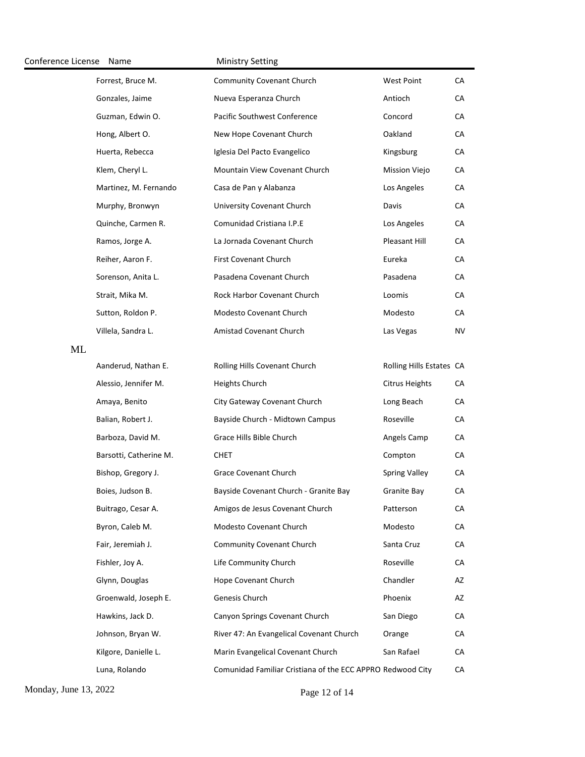| Conference License | Name                   | <b>Ministry Setting</b>                                    |                          |    |
|--------------------|------------------------|------------------------------------------------------------|--------------------------|----|
|                    | Forrest, Bruce M.      | <b>Community Covenant Church</b>                           | <b>West Point</b>        | CA |
|                    | Gonzales, Jaime        | Nueva Esperanza Church                                     | Antioch                  | CA |
|                    | Guzman, Edwin O.       | Pacific Southwest Conference                               | Concord                  | CA |
|                    | Hong, Albert O.        | New Hope Covenant Church                                   | Oakland                  | CA |
|                    | Huerta, Rebecca        | Iglesia Del Pacto Evangelico                               | Kingsburg                | CA |
|                    | Klem, Cheryl L.        | Mountain View Covenant Church                              | Mission Viejo            | CA |
|                    | Martinez, M. Fernando  | Casa de Pan y Alabanza                                     | Los Angeles              | CA |
|                    | Murphy, Bronwyn        | University Covenant Church                                 | Davis                    | CA |
|                    | Quinche, Carmen R.     | Comunidad Cristiana I.P.E                                  | Los Angeles              | CA |
|                    | Ramos, Jorge A.        | La Jornada Covenant Church                                 | Pleasant Hill            | CA |
|                    | Reiher, Aaron F.       | First Covenant Church                                      | Eureka                   | CA |
|                    | Sorenson, Anita L.     | Pasadena Covenant Church                                   | Pasadena                 | CA |
|                    | Strait, Mika M.        | Rock Harbor Covenant Church                                | Loomis                   | CA |
|                    | Sutton, Roldon P.      | Modesto Covenant Church                                    | Modesto                  | CA |
|                    | Villela, Sandra L.     | Amistad Covenant Church                                    | Las Vegas                | NV |
| <b>ML</b>          |                        |                                                            |                          |    |
|                    | Aanderud, Nathan E.    | Rolling Hills Covenant Church                              | Rolling Hills Estates CA |    |
|                    | Alessio, Jennifer M.   | Heights Church                                             | <b>Citrus Heights</b>    | CA |
|                    | Amaya, Benito          | City Gateway Covenant Church                               | Long Beach               | CA |
|                    | Balian, Robert J.      | Bayside Church - Midtown Campus                            | Roseville                | CA |
|                    | Barboza, David M.      | Grace Hills Bible Church                                   | Angels Camp              | CA |
|                    | Barsotti, Catherine M. | <b>CHET</b>                                                | Compton                  | CA |
|                    | Bishop, Gregory J.     | <b>Grace Covenant Church</b>                               | <b>Spring Valley</b>     | CA |
|                    | Boies, Judson B.       | Bayside Covenant Church - Granite Bay                      | Granite Bay              | CA |
|                    | Buitrago, Cesar A.     | Amigos de Jesus Covenant Church                            | Patterson                | CA |
|                    | Byron, Caleb M.        | Modesto Covenant Church                                    | Modesto                  | CA |
|                    | Fair, Jeremiah J.      | <b>Community Covenant Church</b>                           | Santa Cruz               | CA |
|                    | Fishler, Joy A.        | Life Community Church                                      | Roseville                | CA |
|                    | Glynn, Douglas         | Hope Covenant Church                                       | Chandler                 | AZ |
|                    | Groenwald, Joseph E.   | Genesis Church                                             | Phoenix                  | AZ |
|                    | Hawkins, Jack D.       | Canyon Springs Covenant Church                             | San Diego                | CA |
|                    | Johnson, Bryan W.      | River 47: An Evangelical Covenant Church                   | Orange                   | CA |
|                    | Kilgore, Danielle L.   | Marin Evangelical Covenant Church                          | San Rafael               | CA |
|                    | Luna, Rolando          | Comunidad Familiar Cristiana of the ECC APPRO Redwood City |                          | CA |

Monday, June 13, 2022 Page 12 of 14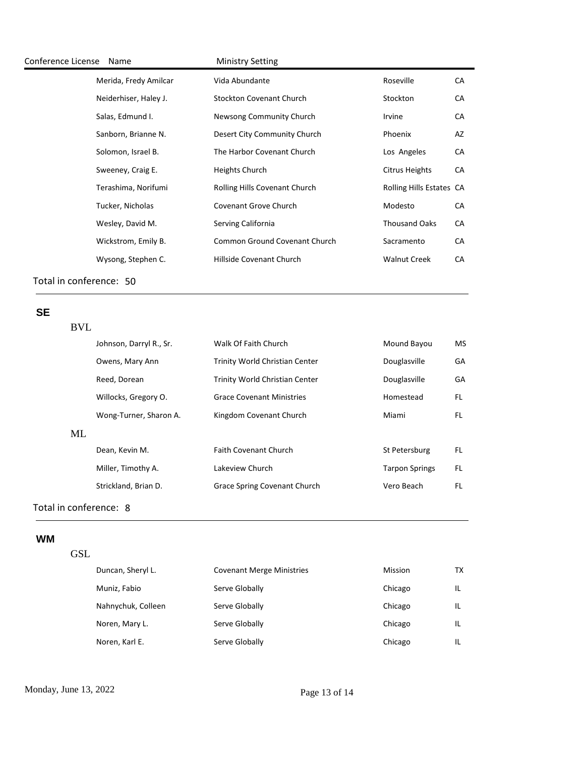| Conference License Name |                       | <b>Ministry Setting</b>              |                          |    |
|-------------------------|-----------------------|--------------------------------------|--------------------------|----|
|                         | Merida, Fredy Amilcar | Vida Abundante                       | Roseville                | СA |
|                         | Neiderhiser, Haley J. | <b>Stockton Covenant Church</b>      | Stockton                 | CА |
|                         | Salas, Edmund I.      | Newsong Community Church             | Irvine                   | CA |
|                         | Sanborn, Brianne N.   | Desert City Community Church         | Phoenix                  | AZ |
|                         | Solomon, Israel B.    | The Harbor Covenant Church           | Los Angeles              | CA |
|                         | Sweeney, Craig E.     | Heights Church                       | Citrus Heights           | CA |
|                         | Terashima, Norifumi   | Rolling Hills Covenant Church        | Rolling Hills Estates CA |    |
|                         | Tucker, Nicholas      | Covenant Grove Church                | Modesto                  | CА |
|                         | Wesley, David M.      | Serving California                   | <b>Thousand Oaks</b>     | CA |
|                         | Wickstrom, Emily B.   | <b>Common Ground Covenant Church</b> | Sacramento               | CA |
|                         | Wysong, Stephen C.    | Hillside Covenant Church             | <b>Walnut Creek</b>      | CA |
|                         |                       |                                      |                          |    |

BVL

# **SE**

|    | Johnson, Darryl R., Sr. | Walk Of Faith Church                | Mound Bayou           | MS  |
|----|-------------------------|-------------------------------------|-----------------------|-----|
|    | Owens, Mary Ann         | Trinity World Christian Center      | Douglasville          | GA  |
|    | Reed, Dorean            | Trinity World Christian Center      | Douglasville          | GA  |
|    | Willocks, Gregory O.    | <b>Grace Covenant Ministries</b>    | Homestead             | FL. |
|    | Wong-Turner, Sharon A.  | Kingdom Covenant Church             | Miami                 | FL  |
| ML |                         |                                     |                       |     |
|    | Dean, Kevin M.          | <b>Faith Covenant Church</b>        | St Petersburg         | FL. |
|    | Miller, Timothy A.      | Lakeview Church                     | <b>Tarpon Springs</b> | FL. |
|    | Strickland, Brian D.    | <b>Grace Spring Covenant Church</b> | Vero Beach            | FL  |
|    |                         |                                     |                       |     |

# Total in conference: 8

## **WM**

## GSL

| Duncan, Sheryl L.  | <b>Covenant Merge Ministries</b> | Mission | тх |
|--------------------|----------------------------------|---------|----|
| Muniz, Fabio       | Serve Globally                   | Chicago | IL |
| Nahnychuk, Colleen | Serve Globally                   | Chicago | IL |
| Noren, Mary L.     | Serve Globally                   | Chicago | IL |
| Noren, Karl E.     | Serve Globally                   | Chicago |    |